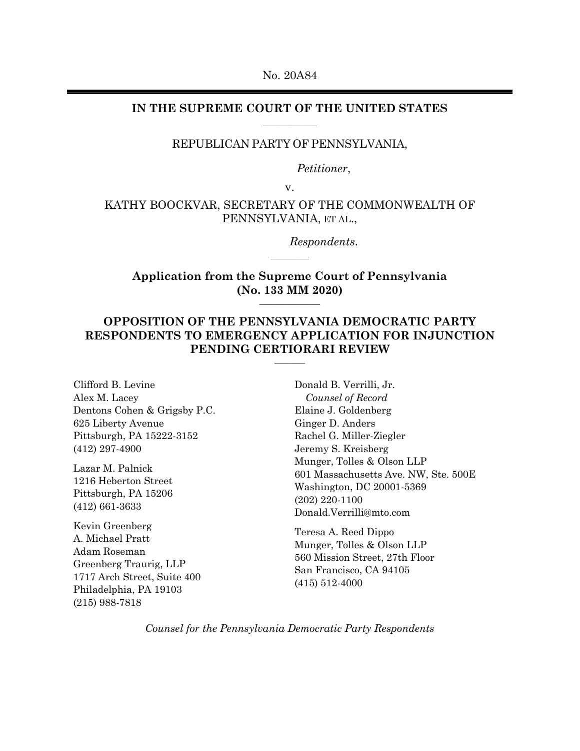No. 20A84

### **IN THE SUPREME COURT OF THE UNITED STATES**  $\overline{\phantom{a}}$

## REPUBLICAN PARTY OF PENNSYLVANIA,

*Petitioner*,

v.

## KATHY BOOCKVAR, SECRETARY OF THE COMMONWEALTH OF PENNSYLVANIA, ET AL.,

*Respondents*.

**Application from the Supreme Court of Pennsylvania (No. 133 MM 2020)**  $\overline{\phantom{a}}$  , where  $\overline{\phantom{a}}$ 

 $\overline{\phantom{a}}$ 

# **OPPOSITION OF THE PENNSYLVANIA DEMOCRATIC PARTY RESPONDENTS TO EMERGENCY APPLICATION FOR INJUNCTION PENDING CERTIORARI REVIEW**

**\_\_\_\_\_\_\_\_**

Clifford B. Levine Alex M. Lacey Dentons Cohen & Grigsby P.C. 625 Liberty Avenue Pittsburgh, PA 15222-3152 (412) 297-4900

Lazar M. Palnick 1216 Heberton Street Pittsburgh, PA 15206 (412) 661-3633

Kevin Greenberg A. Michael Pratt Adam Roseman Greenberg Traurig, LLP 1717 Arch Street, Suite 400 Philadelphia, PA 19103 (215) 988-7818

Donald B. Verrilli, Jr. *Counsel of Record* Elaine J. Goldenberg Ginger D. Anders Rachel G. Miller-Ziegler Jeremy S. Kreisberg Munger, Tolles & Olson LLP 601 Massachusetts Ave. NW, Ste. 500E Washington, DC 20001-5369 (202) 220-1100 Donald.Verrilli@mto.com

Teresa A. Reed Dippo Munger, Tolles & Olson LLP 560 Mission Street, 27th Floor San Francisco, CA 94105 (415) 512-4000

*Counsel for the Pennsylvania Democratic Party Respondents*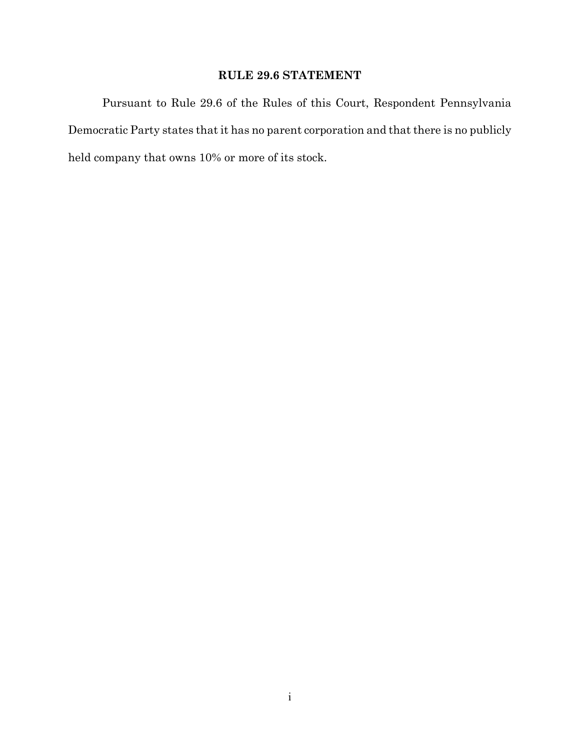# **RULE 29.6 STATEMENT**

Pursuant to Rule 29.6 of the Rules of this Court, Respondent Pennsylvania Democratic Party states that it has no parent corporation and that there is no publicly held company that owns 10% or more of its stock.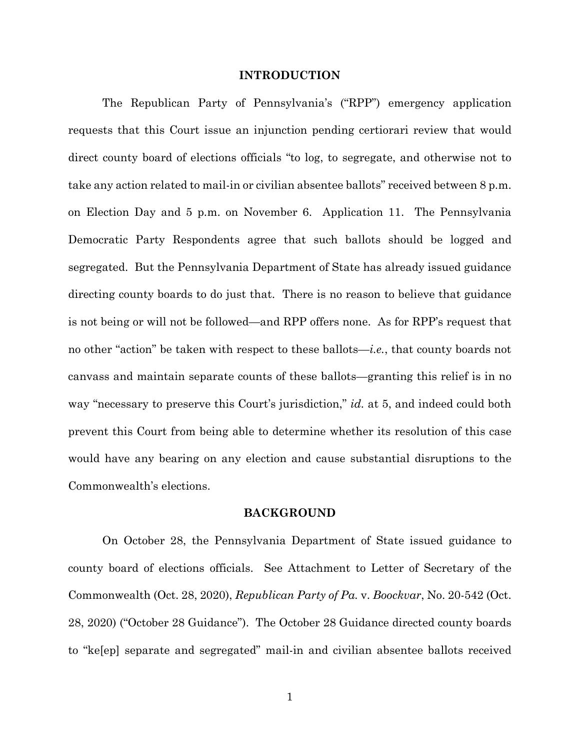#### **INTRODUCTION**

The Republican Party of Pennsylvania's ("RPP") emergency application requests that this Court issue an injunction pending certiorari review that would direct county board of elections officials "to log, to segregate, and otherwise not to take any action related to mail-in or civilian absentee ballots" received between 8 p.m. on Election Day and 5 p.m. on November 6. Application 11. The Pennsylvania Democratic Party Respondents agree that such ballots should be logged and segregated. But the Pennsylvania Department of State has already issued guidance directing county boards to do just that. There is no reason to believe that guidance is not being or will not be followed—and RPP offers none. As for RPP's request that no other "action" be taken with respect to these ballots—*i.e.*, that county boards not canvass and maintain separate counts of these ballots—granting this relief is in no way "necessary to preserve this Court's jurisdiction," *id.* at 5, and indeed could both prevent this Court from being able to determine whether its resolution of this case would have any bearing on any election and cause substantial disruptions to the Commonwealth's elections.

## **BACKGROUND**

On October 28, the Pennsylvania Department of State issued guidance to county board of elections officials. See Attachment to Letter of Secretary of the Commonwealth (Oct. 28, 2020), *Republican Party of Pa.* v. *Boockvar*, No. 20-542 (Oct. 28, 2020) ("October 28 Guidance"). The October 28 Guidance directed county boards to "ke[ep] separate and segregated" mail-in and civilian absentee ballots received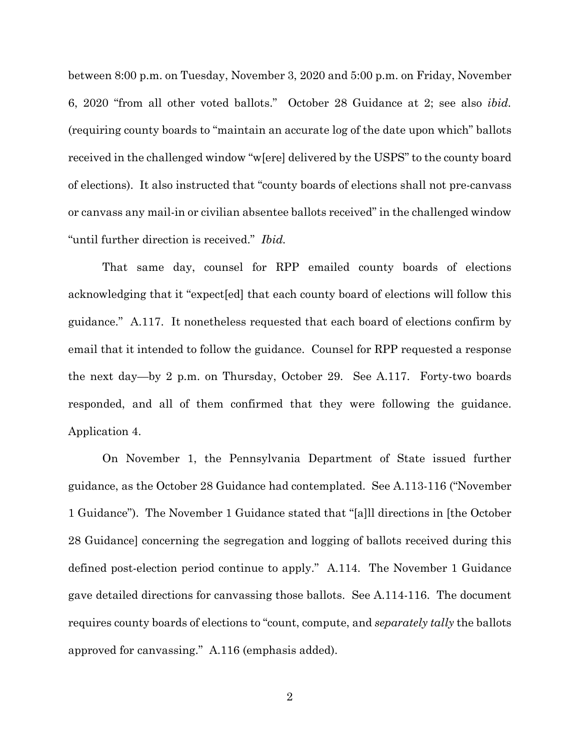between 8:00 p.m. on Tuesday, November 3, 2020 and 5:00 p.m. on Friday, November 6, 2020 "from all other voted ballots." October 28 Guidance at 2; see also *ibid.* (requiring county boards to "maintain an accurate log of the date upon which" ballots received in the challenged window "w[ere] delivered by the USPS" to the county board of elections). It also instructed that "county boards of elections shall not pre-canvass or canvass any mail-in or civilian absentee ballots received" in the challenged window "until further direction is received." *Ibid.*

That same day, counsel for RPP emailed county boards of elections acknowledging that it "expect[ed] that each county board of elections will follow this guidance." A.117. It nonetheless requested that each board of elections confirm by email that it intended to follow the guidance. Counsel for RPP requested a response the next day—by 2 p.m. on Thursday, October 29. See A.117. Forty-two boards responded, and all of them confirmed that they were following the guidance. Application 4.

On November 1, the Pennsylvania Department of State issued further guidance, as the October 28 Guidance had contemplated. See A.113-116 ("November 1 Guidance"). The November 1 Guidance stated that "[a]ll directions in [the October 28 Guidance] concerning the segregation and logging of ballots received during this defined post-election period continue to apply." A.114. The November 1 Guidance gave detailed directions for canvassing those ballots. See A.114-116. The document requires county boards of elections to "count, compute, and *separately tally* the ballots approved for canvassing." A.116 (emphasis added).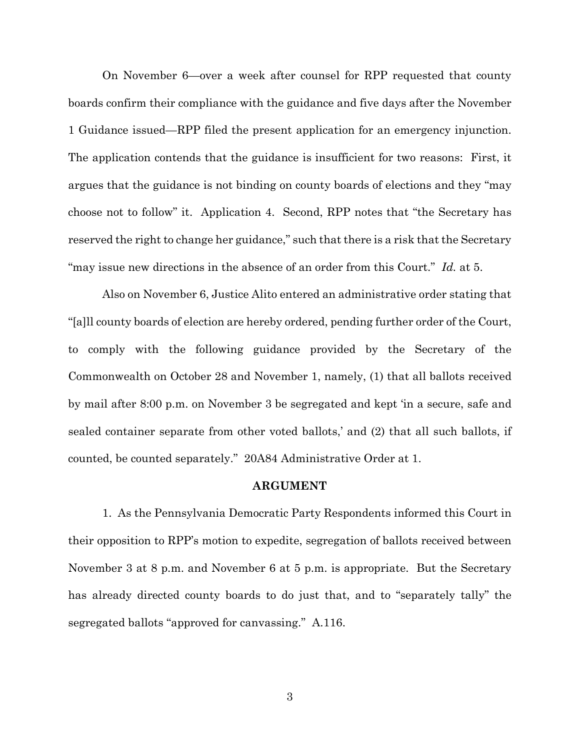On November 6—over a week after counsel for RPP requested that county boards confirm their compliance with the guidance and five days after the November 1 Guidance issued—RPP filed the present application for an emergency injunction. The application contends that the guidance is insufficient for two reasons: First, it argues that the guidance is not binding on county boards of elections and they "may choose not to follow" it. Application 4. Second, RPP notes that "the Secretary has reserved the right to change her guidance," such that there is a risk that the Secretary "may issue new directions in the absence of an order from this Court." *Id.* at 5.

Also on November 6, Justice Alito entered an administrative order stating that "[a]ll county boards of election are hereby ordered, pending further order of the Court, to comply with the following guidance provided by the Secretary of the Commonwealth on October 28 and November 1, namely, (1) that all ballots received by mail after 8:00 p.m. on November 3 be segregated and kept 'in a secure, safe and sealed container separate from other voted ballots,' and (2) that all such ballots, if counted, be counted separately." 20A84 Administrative Order at 1.

### **ARGUMENT**

1. As the Pennsylvania Democratic Party Respondents informed this Court in their opposition to RPP's motion to expedite, segregation of ballots received between November 3 at 8 p.m. and November 6 at 5 p.m. is appropriate. But the Secretary has already directed county boards to do just that, and to "separately tally" the segregated ballots "approved for canvassing." A.116.

3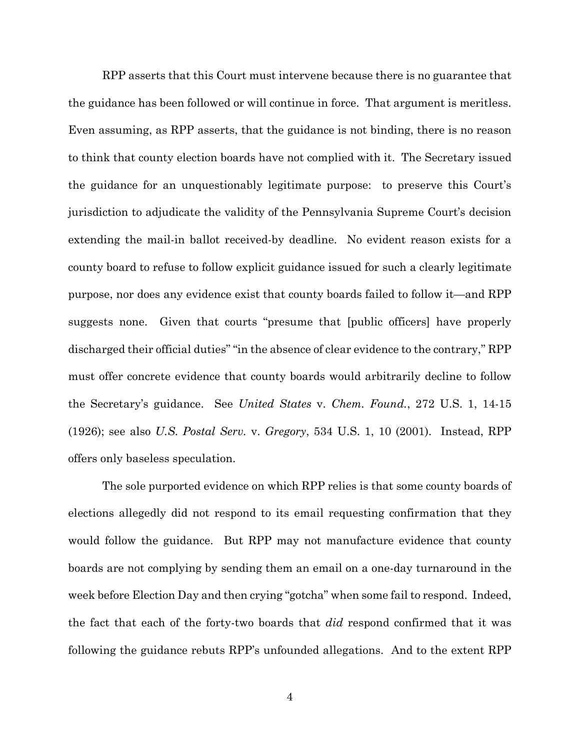RPP asserts that this Court must intervene because there is no guarantee that the guidance has been followed or will continue in force. That argument is meritless. Even assuming, as RPP asserts, that the guidance is not binding, there is no reason to think that county election boards have not complied with it. The Secretary issued the guidance for an unquestionably legitimate purpose: to preserve this Court's jurisdiction to adjudicate the validity of the Pennsylvania Supreme Court's decision extending the mail-in ballot received-by deadline. No evident reason exists for a county board to refuse to follow explicit guidance issued for such a clearly legitimate purpose, nor does any evidence exist that county boards failed to follow it—and RPP suggests none. Given that courts "presume that [public officers] have properly discharged their official duties" "in the absence of clear evidence to the contrary," RPP must offer concrete evidence that county boards would arbitrarily decline to follow the Secretary's guidance. See *United States* v. *Chem. Found.*, 272 U.S. 1, 14-15 (1926); see also *U.S. Postal Serv.* v. *Gregory*, 534 U.S. 1, 10 (2001). Instead, RPP offers only baseless speculation.

The sole purported evidence on which RPP relies is that some county boards of elections allegedly did not respond to its email requesting confirmation that they would follow the guidance. But RPP may not manufacture evidence that county boards are not complying by sending them an email on a one-day turnaround in the week before Election Day and then crying "gotcha" when some fail to respond. Indeed, the fact that each of the forty-two boards that *did* respond confirmed that it was following the guidance rebuts RPP's unfounded allegations. And to the extent RPP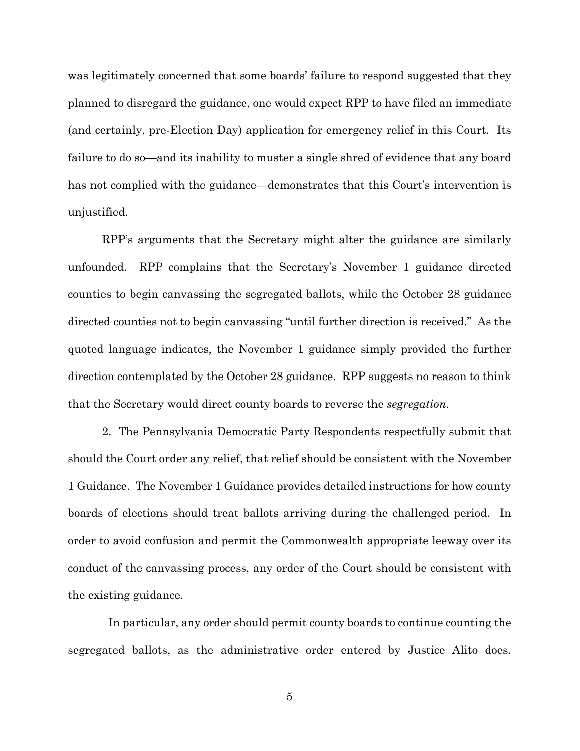was legitimately concerned that some boards' failure to respond suggested that they planned to disregard the guidance, one would expect RPP to have filed an immediate (and certainly, pre-Election Day) application for emergency relief in this Court. Its failure to do so—and its inability to muster a single shred of evidence that any board has not complied with the guidance—demonstrates that this Court's intervention is unjustified.

RPP's arguments that the Secretary might alter the guidance are similarly unfounded. RPP complains that the Secretary's November 1 guidance directed counties to begin canvassing the segregated ballots, while the October 28 guidance directed counties not to begin canvassing "until further direction is received." As the quoted language indicates, the November 1 guidance simply provided the further direction contemplated by the October 28 guidance. RPP suggests no reason to think that the Secretary would direct county boards to reverse the *segregation*.

2. The Pennsylvania Democratic Party Respondents respectfully submit that should the Court order any relief, that relief should be consistent with the November 1 Guidance. The November 1 Guidance provides detailed instructions for how county boards of elections should treat ballots arriving during the challenged period. In order to avoid confusion and permit the Commonwealth appropriate leeway over its conduct of the canvassing process, any order of the Court should be consistent with the existing guidance.

 In particular, any order should permit county boards to continue counting the segregated ballots, as the administrative order entered by Justice Alito does.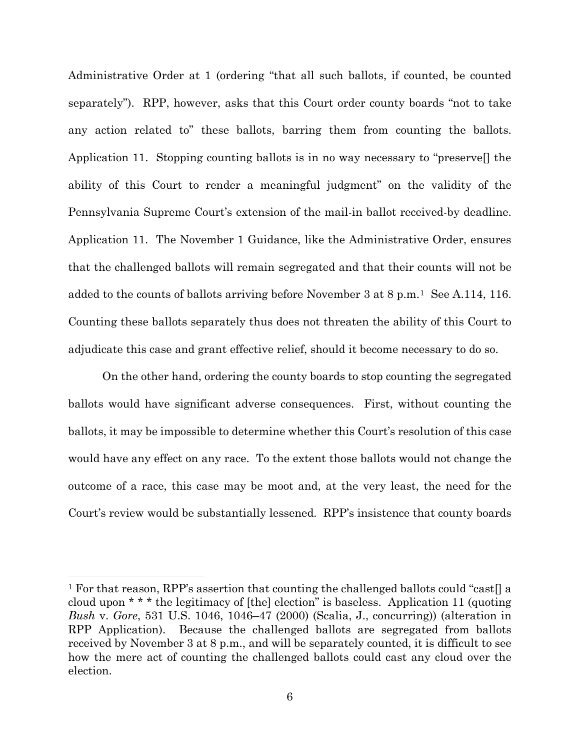Administrative Order at 1 (ordering "that all such ballots, if counted, be counted separately"). RPP, however, asks that this Court order county boards "not to take any action related to" these ballots, barring them from counting the ballots. Application 11. Stopping counting ballots is in no way necessary to "preserve[] the ability of this Court to render a meaningful judgment" on the validity of the Pennsylvania Supreme Court's extension of the mail-in ballot received-by deadline. Application 11. The November 1 Guidance, like the Administrative Order, ensures that the challenged ballots will remain segregated and that their counts will not be added to the counts of ballots arriving before November 3 at 8 p.m.[1](#page-7-0) See A.114, 116. Counting these ballots separately thus does not threaten the ability of this Court to adjudicate this case and grant effective relief, should it become necessary to do so.

On the other hand, ordering the county boards to stop counting the segregated ballots would have significant adverse consequences. First, without counting the ballots, it may be impossible to determine whether this Court's resolution of this case would have any effect on any race. To the extent those ballots would not change the outcome of a race, this case may be moot and, at the very least, the need for the Court's review would be substantially lessened. RPP's insistence that county boards

 $\overline{a}$ 

<span id="page-7-0"></span><sup>&</sup>lt;sup>1</sup> For that reason, RPP's assertion that counting the challenged ballots could "cast<sup>[]</sup> a cloud upon \* \* \* the legitimacy of [the] election" is baseless. Application 11 (quoting *Bush* v. *Gore*, 531 U.S. 1046, 1046–47 (2000) (Scalia, J., concurring)) (alteration in RPP Application). Because the challenged ballots are segregated from ballots received by November 3 at 8 p.m., and will be separately counted, it is difficult to see how the mere act of counting the challenged ballots could cast any cloud over the election.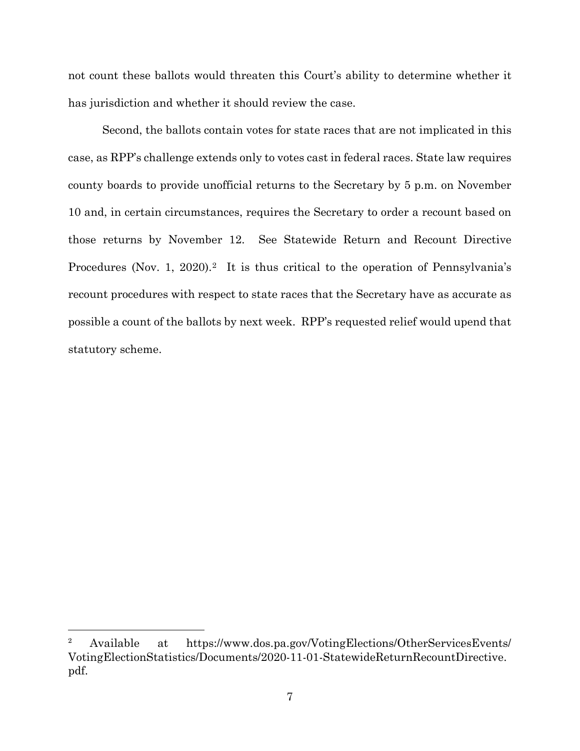not count these ballots would threaten this Court's ability to determine whether it has jurisdiction and whether it should review the case.

Second, the ballots contain votes for state races that are not implicated in this case, as RPP's challenge extends only to votes cast in federal races. State law requires county boards to provide unofficial returns to the Secretary by 5 p.m. on November 10 and, in certain circumstances, requires the Secretary to order a recount based on those returns by November 12. See Statewide Return and Recount Directive Procedures (Nov. 1, 2020).<sup>2</sup> It is thus critical to the operation of Pennsylvania's recount procedures with respect to state races that the Secretary have as accurate as possible a count of the ballots by next week. RPP's requested relief would upend that statutory scheme.

 $\overline{a}$ 

<span id="page-8-0"></span><sup>2</sup> Available at https://www.dos.pa.gov/VotingElections/OtherServicesEvents/ VotingElectionStatistics/Documents/2020-11-01-StatewideReturnRecountDirective. pdf.